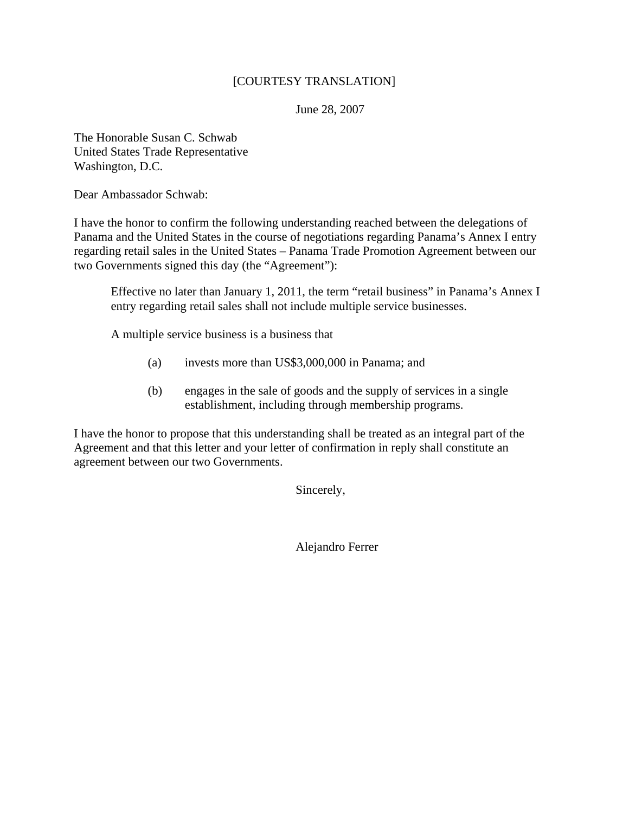## [COURTESY TRANSLATION]

June 28, 2007

The Honorable Susan C. Schwab United States Trade Representative Washington, D.C.

Dear Ambassador Schwab:

I have the honor to confirm the following understanding reached between the delegations of Panama and the United States in the course of negotiations regarding Panama's Annex I entry regarding retail sales in the United States – Panama Trade Promotion Agreement between our two Governments signed this day (the "Agreement"):

Effective no later than January 1, 2011, the term "retail business" in Panama's Annex I entry regarding retail sales shall not include multiple service businesses.

A multiple service business is a business that

- (a) invests more than US\$3,000,000 in Panama; and
- (b) engages in the sale of goods and the supply of services in a single establishment, including through membership programs.

I have the honor to propose that this understanding shall be treated as an integral part of the Agreement and that this letter and your letter of confirmation in reply shall constitute an agreement between our two Governments.

Sincerely,

Alejandro Ferrer